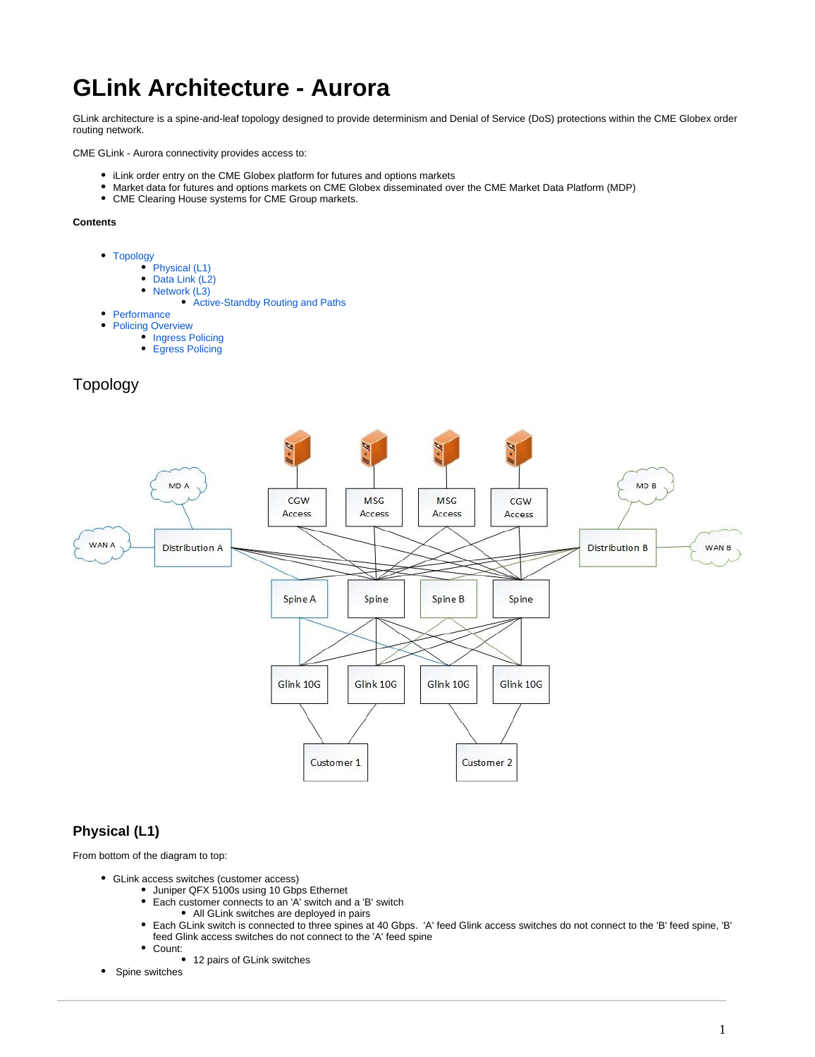# **GLink Architecture - Aurora**

GLink architecture is a spine-and-leaf topology designed to provide determinism and Denial of Service (DoS) protections within the CME Globex order routing network.

CME GLink - Aurora connectivity provides access to:

- iLink order entry on the CME Globex platform for futures and options markets
- $\bullet$ Market data for futures and options markets on CME Globex disseminated over the CME Market Data Platform (MDP)
- CME Clearing House systems for CME Group markets.

#### **Contents**

- [Topology](#page-0-0)
	- [Physical \(L1\)](#page-0-1)
	- $\bullet$ Data Link (L<sub>2</sub>)
	- $\bullet$ [Network \(L3\)](#page-1-1)
		- [Active-Standby Routing and Paths](#page-1-2)
- [Performance](#page-1-3)
- [Policing Overview](#page-2-0)
	- [Ingress Policing](#page-2-1)
	- $\bullet$ [Egress Policing](#page-2-2)

## Topology

<span id="page-0-0"></span>

## <span id="page-0-1"></span>**Physical (L1)**

From bottom of the diagram to top:

- GLink access switches (customer access)
	- Juniper QFX 5100s using 10 Gbps Ethernet
		- Each customer connects to an 'A' switch and a 'B' switch
			- All GLink switches are deployed in pairs
		- Each GLink switch is connected to three spines at 40 Gbps. 'A' feed Glink access switches do not connect to the 'B' feed spine, 'B' feed Glink access switches do not connect to the 'A' feed spine
			- Count:
				- 12 pairs of GLink switches
- Spine switches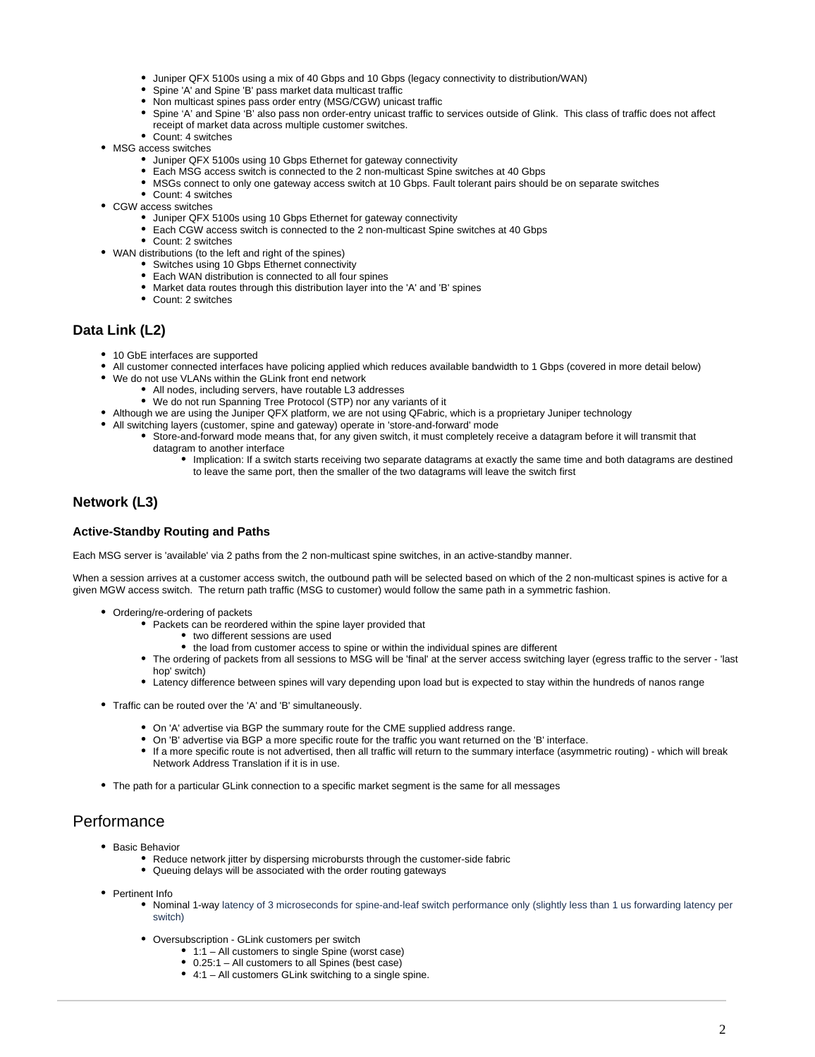- Juniper QFX 5100s using a mix of 40 Gbps and 10 Gbps (legacy connectivity to distribution/WAN)
- Spine 'A' and Spine 'B' pass market data multicast traffic
- Non multicast spines pass order entry (MSG/CGW) unicast traffic
- $\bullet$ Spine 'A' and Spine 'B' also pass non order-entry unicast traffic to services outside of Glink. This class of traffic does not affect receipt of market data across multiple customer switches.
- Count: 4 switches
- MSG access switches
	- Juniper QFX 5100s using 10 Gbps Ethernet for gateway connectivity
	- Each MSG access switch is connected to the 2 non-multicast Spine switches at 40 Gbps
	- MSGs connect to only one gateway access switch at 10 Gbps. Fault tolerant pairs should be on separate switches
	- Count: 4 switches
- CGW access switches
	- Juniper QFX 5100s using 10 Gbps Ethernet for gateway connectivity
	- Each CGW access switch is connected to the 2 non-multicast Spine switches at 40 Gbps
	- Count: 2 switches
- WAN distributions (to the left and right of the spines)
	- Switches using 10 Gbps Ethernet connectivity
	- Each WAN distribution is connected to all four spines
	- Market data routes through this distribution layer into the 'A' and 'B' spines
	- Count: 2 switches

## <span id="page-1-0"></span>**Data Link (L2)**

- 10 GbE interfaces are supported
- All customer connected interfaces have policing applied which reduces available bandwidth to 1 Gbps (covered in more detail below)
	- We do not use VLANs within the GLink front end network
		- All nodes, including servers, have routable L3 addresses
			- We do not run Spanning Tree Protocol (STP) nor any variants of it
- Although we are using the Juniper QFX platform, we are not using QFabric, which is a proprietary Juniper technology
- All switching layers (customer, spine and gateway) operate in 'store-and-forward' mode
	- Store-and-forward mode means that, for any given switch, it must completely receive a datagram before it will transmit that datagram to another interface
		- Implication: If a switch starts receiving two separate datagrams at exactly the same time and both datagrams are destined to leave the same port, then the smaller of the two datagrams will leave the switch first

## <span id="page-1-1"></span>**Network (L3)**

### <span id="page-1-2"></span>**Active-Standby Routing and Paths**

Each MSG server is 'available' via 2 paths from the 2 non-multicast spine switches, in an active-standby manner.

When a session arrives at a customer access switch, the outbound path will be selected based on which of the 2 non-multicast spines is active for a given MGW access switch. The return path traffic (MSG to customer) would follow the same path in a symmetric fashion.

- Ordering/re-ordering of packets
	- Packets can be reordered within the spine layer provided that
		- two different sessions are used
		- the load from customer access to spine or within the individual spines are different
	- The ordering of packets from all sessions to MSG will be 'final' at the server access switching layer (egress traffic to the server 'last hop' switch)
	- Latency difference between spines will vary depending upon load but is expected to stay within the hundreds of nanos range
- Traffic can be routed over the 'A' and 'B' simultaneously.
	- On 'A' advertise via BGP the summary route for the CME supplied address range.
	- On 'B' advertise via BGP a more specific route for the traffic you want returned on the 'B' interface.
	- If a more specific route is not advertised, then all traffic will return to the summary interface (asymmetric routing) which will break Network Address Translation if it is in use.
- The path for a particular GLink connection to a specific market segment is the same for all messages

## <span id="page-1-3"></span>**Performance**

- **•** Basic Behavior
	- Reduce network jitter by dispersing microbursts through the customer-side fabric
	- Queuing delays will be associated with the order routing gateways
- Pertinent Info
	- Nominal 1-way latency of 3 microseconds for spine-and-leaf switch performance only (slightly less than 1 us forwarding latency per switch)
	- Oversubscription GLink customers per switch
		- 1:1 All customers to single Spine (worst case)
		- 0.25:1 All customers to all Spines (best case)
		- 4:1 All customers GLink switching to a single spine.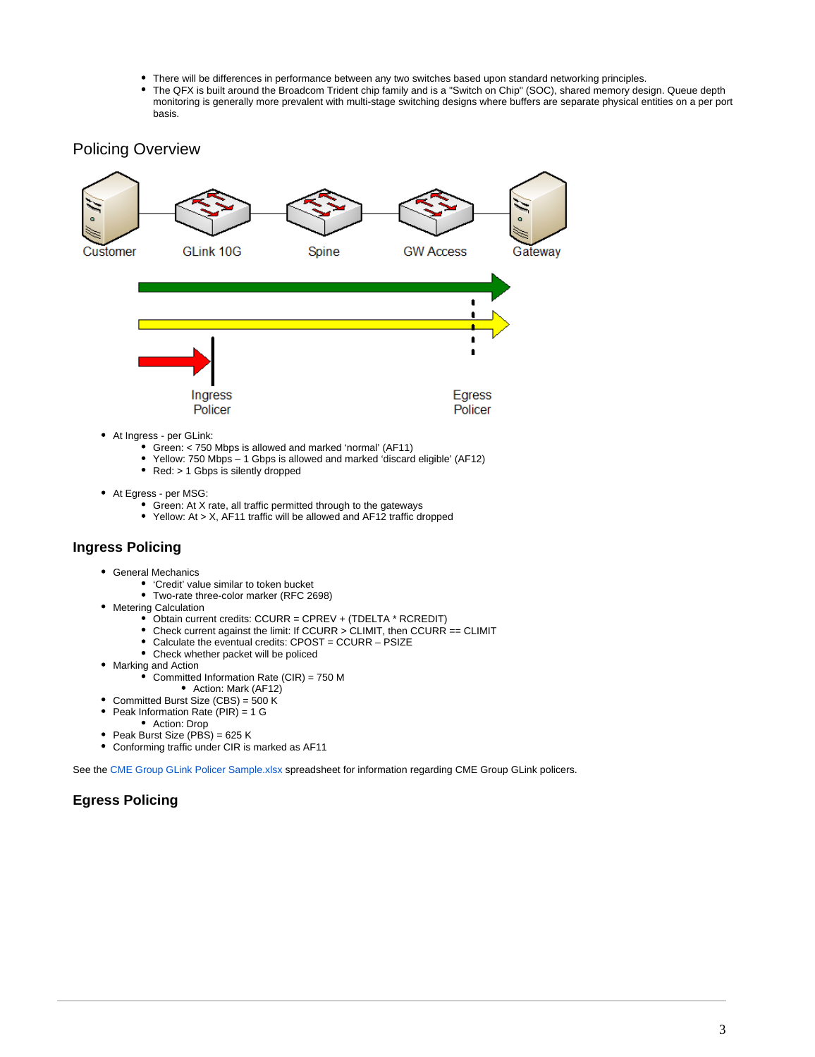- There will be differences in performance between any two switches based upon standard networking principles.
- The QFX is built around the Broadcom Trident chip family and is a "Switch on Chip" (SOC), shared memory design. Queue depth monitoring is generally more prevalent with multi-stage switching designs where buffers are separate physical entities on a per port basis.

## <span id="page-2-0"></span>Policing Overview



- Green: < 750 Mbps is allowed and marked 'normal' (AF11)
- Yellow: 750 Mbps 1 Gbps is allowed and marked 'discard eligible' (AF12)
- Red: > 1 Gbps is silently dropped
- At Egress per MSG:
	- Green: At X rate, all traffic permitted through to the gateways
	- Yellow: At > X, AF11 traffic will be allowed and AF12 traffic dropped

## <span id="page-2-1"></span>**Ingress Policing**

- General Mechanics
	- 'Credit' value similar to token bucket
	- Two-rate three-color marker (RFC 2698)
- Metering Calculation
	- Obtain current credits: CCURR = CPREV + (TDELTA \* RCREDIT)
	- Check current against the limit: If CCURR > CLIMIT, then CCURR == CLIMIT
	- Calculate the eventual credits: CPOST = CCURR PSIZE
	- Check whether packet will be policed
- Marking and Action
	- Committed Information Rate (CIR) = 750 M
		- Action: Mark (AF12)
- Committed Burst Size (CBS) = 500 K
- $\bullet$ Peak Information Rate (PIR) = 1 G
- Action: Drop
- $\bullet$ Peak Burst Size (PBS) = 625 K
- Conforming traffic under CIR is marked as AF11  $\bullet$

See the [CME Group GLink Policer Sample.xlsx](https://www.cmegroup.com/market-data/files/cme-group-glink-policer-sample.xlsx) spreadsheet for information regarding CME Group GLink policers.

## <span id="page-2-2"></span>**Egress Policing**